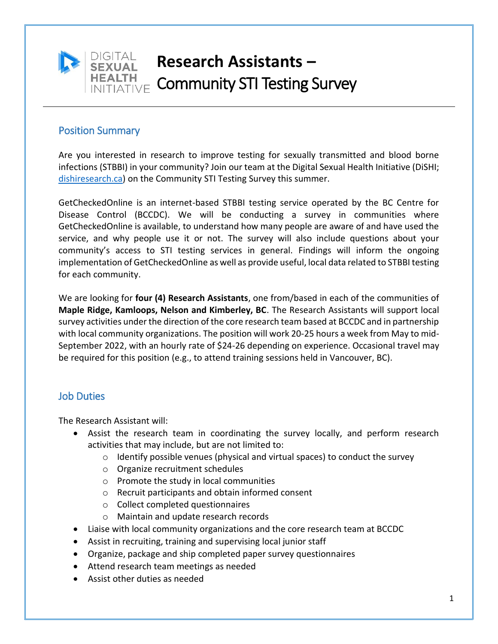

# **Research Assistants –** INITIATIVE Community STI Testing Survey

## Position Summary

Are you interested in research to improve testing for sexually transmitted and blood borne infections (STBBI) in your community? Join our team at the Digital Sexual Health Initiative (DiSHI; [dishiresearch.ca\)](https://www.dishiresearch.ca/) on the Community STI Testing Survey this summer.

GetCheckedOnline is an internet-based STBBI testing service operated by the BC Centre for Disease Control (BCCDC). We will be conducting a survey in communities where GetCheckedOnline is available, to understand how many people are aware of and have used the service, and why people use it or not. The survey will also include questions about your community's access to STI testing services in general. Findings will inform the ongoing implementation of GetCheckedOnline as well as provide useful, local data related to STBBI testing for each community.

We are looking for **four (4) Research Assistants**, one from/based in each of the communities of **Maple Ridge, Kamloops, Nelson and Kimberley, BC**. The Research Assistants will support local survey activities under the direction of the core research team based at BCCDC and in partnership with local community organizations. The position will work 20-25 hours a week from May to mid-September 2022, with an hourly rate of \$24-26 depending on experience. Occasional travel may be required for this position (e.g., to attend training sessions held in Vancouver, BC).

## Job Duties

The Research Assistant will:

- Assist the research team in coordinating the survey locally, and perform research activities that may include, but are not limited to:
	- $\circ$  Identify possible venues (physical and virtual spaces) to conduct the survey
	- o Organize recruitment schedules
	- o Promote the study in local communities
	- o Recruit participants and obtain informed consent
	- o Collect completed questionnaires
	- o Maintain and update research records
- Liaise with local community organizations and the core research team at BCCDC
- Assist in recruiting, training and supervising local junior staff
- Organize, package and ship completed paper survey questionnaires
- Attend research team meetings as needed
- Assist other duties as needed